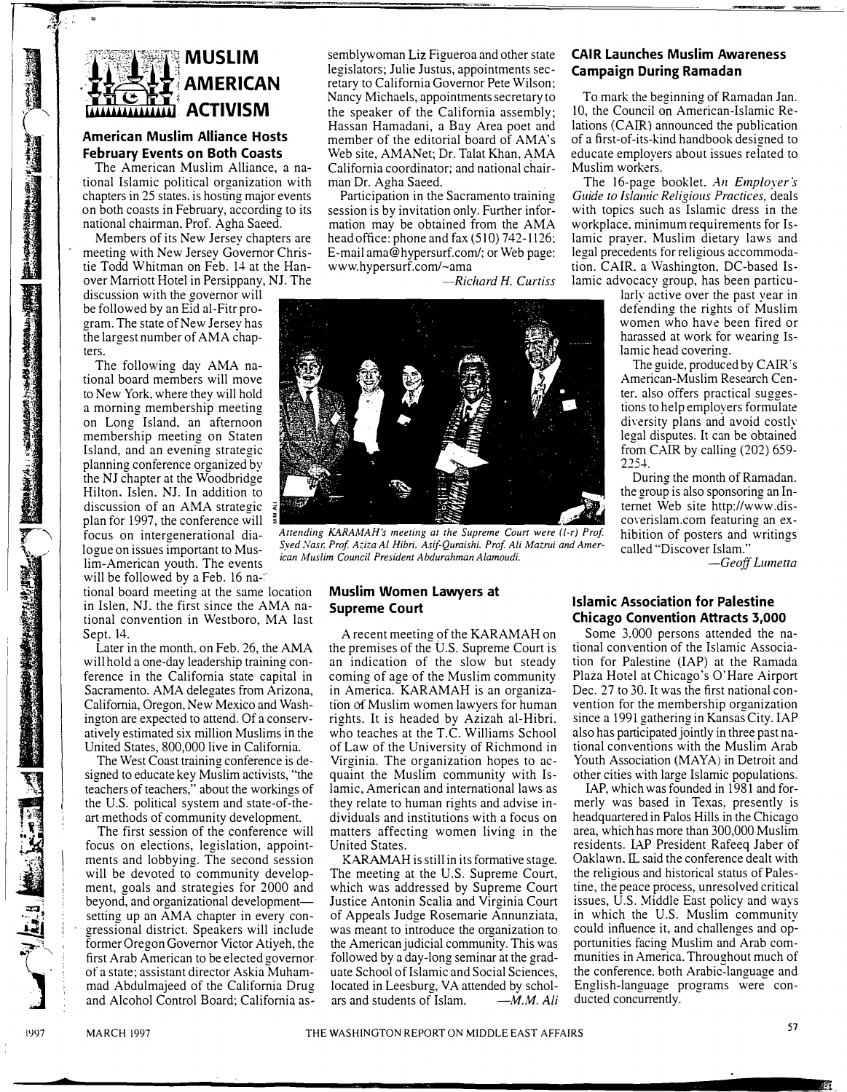# **MUSLIM \_.\_\_u'-,-:-:---'.,.\_\_.\_1 AMERICAN ALLIAN ACTIVISM**

# **American Muslim Alliance Hosts February Events on Both Coasts**

The American Muslim Alliance, a national Islamic political organization with chapters in 25 states. is hosting major events on both coasts in February, according to its national chairman. Prof. Agha Saeed.

Members of its New Jersey chapters are meeting with New Jersey Governor Christie Todd Whitman on Feb. 14 at the Hanover Marriott Hotel in Persippany, NJ. The

discussion with the governor will be followed by an Eid al-Fitr program. The state of New Jersey has the largest number of AMA chapters.

The following day AMA national board members will move to New York. where they will hold a morning membership meeting on Long Island, an afternoon membership meeting on Staten Island, and an evening strategic planning conference organized by the NJ chapter at the Woodbridge Hilton, Islen. NJ. In addition to discussion of an AMA strategic plan for 1997, the conference will<br>focus on intergenerational dialim-American youth. The events will be followed by a Feb. 16 na-

tional board meeting at the same location in Islen, NJ. the first since the AMA national convention in Westboro, MA last Sept. 14.

Later in the month. on Feb. 26, the AMA will hold a one-day leadership training conference in the California state capital in Sacramento. AMA delegates from Arizona, California, Oregon, New Mexico and Washington are expected to attend. Of a conservatively estimated six million Muslims in the United States, 800,000 live in California.

The West Coast training conference is designed to educate key Muslim activists, "the teachers of teachers," about the workings of the U.S. political system and state-of-theart methods of community development.

The first session of the conference will focus on elections, legislation, appointments and lobbying. The second session will be devoted to community development, goals and strategies for 2000 and beyond, and organizational developmentsetting up an AMA chapter in every congressional district. Speakers will include former Oregon Governor Victor Atiyeh, the first Arab American to be elected governorof a state; assistant director Askia Muhammad Abdulmajeed of the California Drug and Alcohol Control Board: California assemblywoman Liz Figueroa and other state legislators; Julie Justus, appointments secretary to California Governor Pete Wilson: Nancy Michaels, appointments secretary to the speaker of the California assembly; Hassan Hamadani, a Bay Area poet and member of the editorial board of AMA's Web site, AMANet; Dr. Talat Khan, AMA California coordinator; and national chairman Dr. Agha Saeed.

Participation in the Sacramento training session is by invitation only. Further information may be obtained from the AMA head office: phone and fax (510) 742-1126: E-mail ama@hypersurf.com/; or Web page: www.hypersurf.com/-ama

*-Richard H. Curtiss*



focus on intergenerational dia-<br>focus on intergenerational dia-<br>logue on issues important to Mus-<br>start *Syed Nasr*, Prof. Aziza Al Hibri, Asif-Quraishi, Prof. Ali Mazrui and Amer-Syed Nasr, Prof. Aziza Al Hibri, Asif-Quraishi, Prof. Ali Mazrui and Amer-<br>ican Muslim Council President Abdurahman Alamoudi.

#### **Muslim Women Lawyers at Supreme Court**

A recent meeting of the KARAMAH on the premises of the U.S. Supreme Court is an indication of the slow but steady coming of age of the Muslim community in America. KARAMAH is an organization of Muslim women lawyers for human rights. It is headed by Azizah al-Hibri, who teaches at the T.C. Williams School of Law of the University of Richmond in Virginia. The organization hopes to acquaint the Muslim community with Islamic, American and international laws as they relate to human rights and advise individuals and institutions with a focus on matters affecting women living in the United States.

KARAMAH is still in its formative stage. The meeting at the U.S. Supreme Court, which was addressed by Supreme Court Justice Antonin Scalia and Virginia Court of Appeals Judge Rosemarie Annunziata, was meant to introduce the organization to the American judicial community. This was followed by a day-long seminar at the graduate School of Islamic and Social Sciences, located in Leesburg, VA attended by scholars and students of Islam. - M.M. Ali

### **CAIR Launches Muslim Awareness Campaign During Ramadan**

To mark the beginning of Ramadan Jan. 10, the Council on American-Islamic Relations (CAIR) announced the publication of a first-of-its-kind handbook designed to educate employers about issues related to Muslim workers.

The 16-page booklet. *An Employer's Guide to Islamic Religious Practices,* deals with topics such as Islamic dress in the workplace. minimum requirements for Islamic prayer. Muslim dietary laws and legal precedents for religious accommodation. CAIR. a Washington. DC-based Islamic advocacy group, has been particu-

larly active over the past year in defending the rights of Muslim women who have been fired or harassed at work for wearing Islamic head covering.

The guide, produced by CAIR's American-Muslim Research Center. also offers practical suggestions to help employers formulate diversity plans and avoid costly legal disputes. It can be obtained from CAIR by calling (202) 659-  $2251$ 

During the month of Ramadan. the group is also sponsoring an Internet Web site http://www.discoverislam.com featuring an exhibition of posters and writings called "Discover Islam."

*-Geoff Lumetta*

## **Islamic Association for Palestine Chicago Convention Attracts 3,000**

Some 3,000 persons attended the national convention of the Islamic Association for Palestine (IAP) at the Ramada Plaza Hotel at Chicago's O'Hare Airport Dec. 27 to 30. It was the first national convention for the membership organization since a 1991 gathering in Kansas City. IAP also has participated jointly in three past national conventions with the Muslim Arab Youth Association (MAYA) in Detroit and other cities with large Islamic populations.

IAP, which was founded in 1981 and formerly was based in Texas, presently is headquartered in Palos Hills in the Chicago area, which has more than 300,000 Muslim residents. IAP President Rafeeq Jaber of Oaklawn. IL said the conference dealt with the religious and historical status of Palestine, the peace process, unresolved critical issues, U.S. Middle East policy and ways in which the U.S. Muslim community could influence it, and challenges and opportunities facing Muslim and Arab communities in America. Throughout much of the conference, both Arabic-language and English-language programs were conducted concurrently.

1 . . '

j .<br>1. **junio** 19 ' .

1997